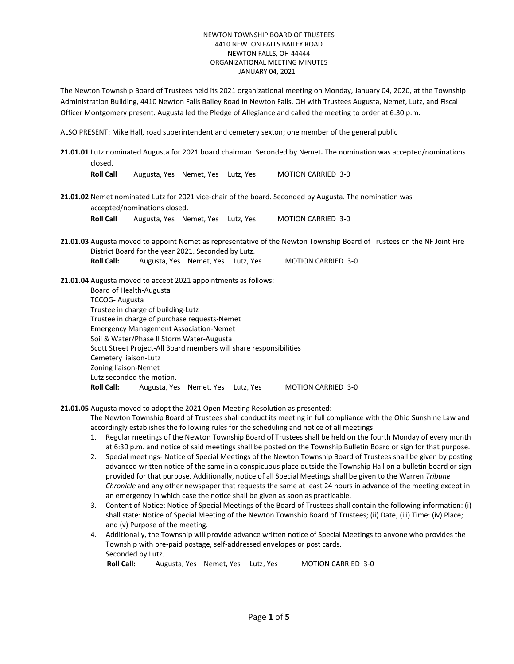The Newton Township Board of Trustees held its 2021 organizational meeting on Monday, January 04, 2020, at the Township Administration Building, 4410 Newton Falls Bailey Road in Newton Falls, OH with Trustees Augusta, Nemet, Lutz, and Fiscal Officer Montgomery present. Augusta led the Pledge of Allegiance and called the meeting to order at 6:30 p.m.

ALSO PRESENT: Mike Hall, road superintendent and cemetery sexton; one member of the general public

**21.01.01** Lutz nominated Augusta for 2021 board chairman. Seconded by Nemet**.** The nomination was accepted/nominations closed. **Roll Call** Augusta, Yes Nemet, Yes Lutz, Yes MOTION CARRIED 3-0 **21.01.02** Nemet nominated Lutz for 2021 vice-chair of the board. Seconded by Augusta. The nomination was accepted/nominations closed. **Roll Call** Augusta, Yes Nemet, Yes Lutz, Yes MOTION CARRIED 3-0 **21.01.03** Augusta moved to appoint Nemet as representative of the Newton Township Board of Trustees on the NF Joint Fire District Board for the year 2021. Seconded by Lutz. **Roll Call:** Augusta, Yes Nemet, Yes Lutz, Yes MOTION CARRIED 3-0 **21.01.04** Augusta moved to accept 2021 appointments as follows: Board of Health-Augusta TCCOG- Augusta Trustee in charge of building-Lutz Trustee in charge of purchase requests-Nemet Emergency Management Association-Nemet Soil & Water/Phase II Storm Water-Augusta Scott Street Project-All Board members will share responsibilities Cemetery liaison-Lutz Zoning liaison-Nemet Lutz seconded the motion. Roll Call: Augusta, Yes Nemet, Yes Lutz, Yes MOTION CARRIED 3-0

**21.01.05** Augusta moved to adopt the 2021 Open Meeting Resolution as presented:

The Newton Township Board of Trustees shall conduct its meeting in full compliance with the Ohio Sunshine Law and accordingly establishes the following rules for the scheduling and notice of all meetings:

- 1. Regular meetings of the Newton Township Board of Trustees shall be held on the fourth Monday of every month at 6:30 p.m. and notice of said meetings shall be posted on the Township Bulletin Board or sign for that purpose.
- 2. Special meetings- Notice of Special Meetings of the Newton Township Board of Trustees shall be given by posting advanced written notice of the same in a conspicuous place outside the Township Hall on a bulletin board or sign provided for that purpose. Additionally, notice of all Special Meetings shall be given to the Warren *Tribune Chronicle* and any other newspaper that requests the same at least 24 hours in advance of the meeting except in an emergency in which case the notice shall be given as soon as practicable.
- 3. Content of Notice: Notice of Special Meetings of the Board of Trustees shall contain the following information: (i) shall state: Notice of Special Meeting of the Newton Township Board of Trustees; (ii) Date; (iii) Time: (iv) Place; and (v) Purpose of the meeting.
- 4. Additionally, the Township will provide advance written notice of Special Meetings to anyone who provides the Township with pre-paid postage, self-addressed envelopes or post cards. Seconded by Lutz.

 **Roll Call:** Augusta, Yes Nemet, Yes Lutz, Yes MOTION CARRIED 3-0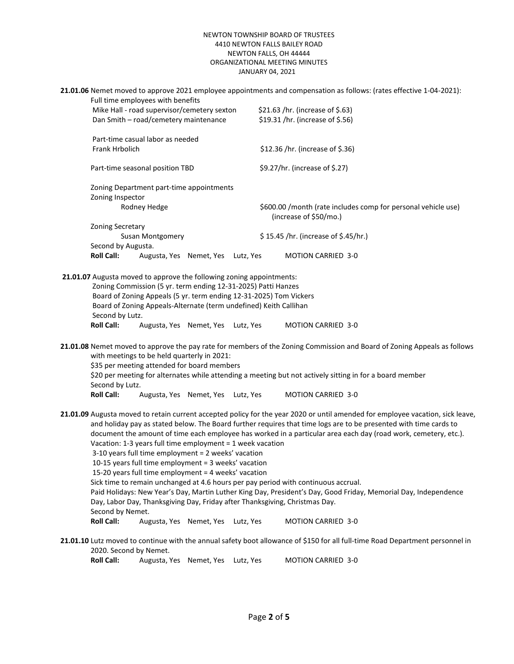|                                                                                                                                                         |                                                                                                                                                                                                                                                                                                                                                                                                                                                                                                                                                                                                                                                                                                                                                                                                                                                                                                                                                                                                                                                                                                          | Full time employees with benefits |  |           | 21.01.06 Nemet moved to approve 2021 employee appointments and compensation as follows: (rates effective 1-04-2021):                                                                                                                  |                                      |  |  |
|---------------------------------------------------------------------------------------------------------------------------------------------------------|----------------------------------------------------------------------------------------------------------------------------------------------------------------------------------------------------------------------------------------------------------------------------------------------------------------------------------------------------------------------------------------------------------------------------------------------------------------------------------------------------------------------------------------------------------------------------------------------------------------------------------------------------------------------------------------------------------------------------------------------------------------------------------------------------------------------------------------------------------------------------------------------------------------------------------------------------------------------------------------------------------------------------------------------------------------------------------------------------------|-----------------------------------|--|-----------|---------------------------------------------------------------------------------------------------------------------------------------------------------------------------------------------------------------------------------------|--------------------------------------|--|--|
|                                                                                                                                                         | Mike Hall - road supervisor/cemetery sexton<br>Dan Smith - road/cemetery maintenance<br>Part-time casual labor as needed<br>Frank Hrbolich<br>Part-time seasonal position TBD<br>Zoning Department part-time appointments<br>Zoning Inspector<br>Rodney Hedge<br>Zoning Secretary<br>Susan Montgomery<br>Second by Augusta.                                                                                                                                                                                                                                                                                                                                                                                                                                                                                                                                                                                                                                                                                                                                                                              |                                   |  |           | \$21.63 /hr. (increase of \$.63)<br>\$19.31 /hr. (increase of \$.56)<br>\$12.36 /hr. (increase of \$.36)<br>\$9.27/hr. (increase of \$.27)<br>\$600.00 /month (rate includes comp for personal vehicle use)<br>(increase of \$50/mo.) |                                      |  |  |
|                                                                                                                                                         |                                                                                                                                                                                                                                                                                                                                                                                                                                                                                                                                                                                                                                                                                                                                                                                                                                                                                                                                                                                                                                                                                                          |                                   |  |           |                                                                                                                                                                                                                                       |                                      |  |  |
|                                                                                                                                                         |                                                                                                                                                                                                                                                                                                                                                                                                                                                                                                                                                                                                                                                                                                                                                                                                                                                                                                                                                                                                                                                                                                          |                                   |  |           |                                                                                                                                                                                                                                       |                                      |  |  |
|                                                                                                                                                         |                                                                                                                                                                                                                                                                                                                                                                                                                                                                                                                                                                                                                                                                                                                                                                                                                                                                                                                                                                                                                                                                                                          |                                   |  |           |                                                                                                                                                                                                                                       |                                      |  |  |
|                                                                                                                                                         |                                                                                                                                                                                                                                                                                                                                                                                                                                                                                                                                                                                                                                                                                                                                                                                                                                                                                                                                                                                                                                                                                                          |                                   |  |           |                                                                                                                                                                                                                                       | \$15.45 /hr. (increase of \$.45/hr.) |  |  |
|                                                                                                                                                         | <b>Roll Call:</b>                                                                                                                                                                                                                                                                                                                                                                                                                                                                                                                                                                                                                                                                                                                                                                                                                                                                                                                                                                                                                                                                                        | Augusta, Yes Nemet, Yes Lutz, Yes |  |           |                                                                                                                                                                                                                                       | <b>MOTION CARRIED 3-0</b>            |  |  |
|                                                                                                                                                         | 21.01.07 Augusta moved to approve the following zoning appointments:<br>Zoning Commission (5 yr. term ending 12-31-2025) Patti Hanzes<br>Board of Zoning Appeals (5 yr. term ending 12-31-2025) Tom Vickers<br>Board of Zoning Appeals-Alternate (term undefined) Keith Callihan<br>Second by Lutz.<br><b>Roll Call:</b><br>Augusta, Yes Nemet, Yes Lutz, Yes<br><b>MOTION CARRIED 3-0</b><br>21.01.08 Nemet moved to approve the pay rate for members of the Zoning Commission and Board of Zoning Appeals as follows<br>with meetings to be held quarterly in 2021:                                                                                                                                                                                                                                                                                                                                                                                                                                                                                                                                    |                                   |  |           |                                                                                                                                                                                                                                       |                                      |  |  |
|                                                                                                                                                         | \$35 per meeting attended for board members<br>\$20 per meeting for alternates while attending a meeting but not actively sitting in for a board member<br>Second by Lutz.                                                                                                                                                                                                                                                                                                                                                                                                                                                                                                                                                                                                                                                                                                                                                                                                                                                                                                                               |                                   |  |           |                                                                                                                                                                                                                                       |                                      |  |  |
|                                                                                                                                                         | <b>Roll Call:</b><br>Augusta, Yes Nemet, Yes Lutz, Yes<br><b>MOTION CARRIED 3-0</b><br>21.01.09 Augusta moved to retain current accepted policy for the year 2020 or until amended for employee vacation, sick leave,<br>and holiday pay as stated below. The Board further requires that time logs are to be presented with time cards to<br>document the amount of time each employee has worked in a particular area each day (road work, cemetery, etc.).<br>Vacation: 1-3 years full time employment = 1 week vacation<br>3-10 years full time employment = 2 weeks' vacation<br>10-15 years full time employment = 3 weeks' vacation<br>15-20 years full time employment = 4 weeks' vacation<br>Sick time to remain unchanged at 4.6 hours per pay period with continuous accrual.<br>Paid Holidays: New Year's Day, Martin Luther King Day, President's Day, Good Friday, Memorial Day, Independence<br>Day, Labor Day, Thanksgiving Day, Friday after Thanksgiving, Christmas Day.<br>Second by Nemet.<br><b>Roll Call:</b><br>Augusta, Yes Nemet, Yes<br><b>MOTION CARRIED 3-0</b><br>Lutz, Yes |                                   |  |           |                                                                                                                                                                                                                                       |                                      |  |  |
| 21.01.10 Lutz moved to continue with the annual safety boot allowance of \$150 for all full-time Road Department personnel in<br>2020. Second by Nemet. |                                                                                                                                                                                                                                                                                                                                                                                                                                                                                                                                                                                                                                                                                                                                                                                                                                                                                                                                                                                                                                                                                                          |                                   |  |           |                                                                                                                                                                                                                                       |                                      |  |  |
|                                                                                                                                                         | <b>Roll Call:</b>                                                                                                                                                                                                                                                                                                                                                                                                                                                                                                                                                                                                                                                                                                                                                                                                                                                                                                                                                                                                                                                                                        | Augusta, Yes Nemet, Yes           |  | Lutz, Yes |                                                                                                                                                                                                                                       | <b>MOTION CARRIED 3-0</b>            |  |  |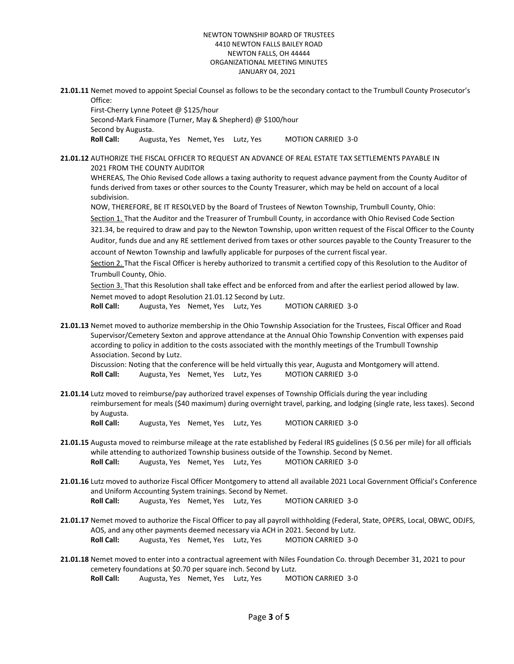**21.01.11** Nemet moved to appoint Special Counsel as follows to be the secondary contact to the Trumbull County Prosecutor's Office:

First-Cherry Lynne Poteet @ \$125/hour Second-Mark Finamore (Turner, May & Shepherd) @ \$100/hour Second by Augusta. Roll Call: Augusta, Yes Nemet, Yes Lutz, Yes MOTION CARRIED 3-0

**21.01.12** AUTHORIZE THE FISCAL OFFICER TO REQUEST AN ADVANCE OF REAL ESTATE TAX SETTLEMENTS PAYABLE IN 2021 FROM THE COUNTY AUDITOR

WHEREAS, The Ohio Revised Code allows a taxing authority to request advance payment from the County Auditor of funds derived from taxes or other sources to the County Treasurer, which may be held on account of a local subdivision.

NOW, THEREFORE, BE IT RESOLVED by the Board of Trustees of Newton Township, Trumbull County, Ohio: Section 1. That the Auditor and the Treasurer of Trumbull County, in accordance with Ohio Revised Code Section 321.34, be required to draw and pay to the Newton Township, upon written request of the Fiscal Officer to the County Auditor, funds due and any RE settlement derived from taxes or other sources payable to the County Treasurer to the account of Newton Township and lawfully applicable for purposes of the current fiscal year.

Section 2. That the Fiscal Officer is hereby authorized to transmit a certified copy of this Resolution to the Auditor of Trumbull County, Ohio.

Section 3. That this Resolution shall take effect and be enforced from and after the earliest period allowed by law. Nemet moved to adopt Resolution 21.01.12 Second by Lutz.

**Roll Call:** Augusta, Yes Nemet, Yes Lutz, Yes MOTION CARRIED 3-0

**21.01.13** Nemet moved to authorize membership in the Ohio Township Association for the Trustees, Fiscal Officer and Road Supervisor/Cemetery Sexton and approve attendance at the Annual Ohio Township Convention with expenses paid according to policy in addition to the costs associated with the monthly meetings of the Trumbull Township Association. Second by Lutz.

Discussion: Noting that the conference will be held virtually this year, Augusta and Montgomery will attend. Roll Call: Augusta, Yes Nemet, Yes Lutz, Yes MOTION CARRIED 3-0

**21.01.14** Lutz moved to reimburse/pay authorized travel expenses of Township Officials during the year including reimbursement for meals (\$40 maximum) during overnight travel, parking, and lodging (single rate, less taxes). Second by Augusta.

Roll Call: Augusta, Yes Nemet, Yes Lutz, Yes MOTION CARRIED 3-0

- **21.01.15** Augusta moved to reimburse mileage at the rate established by Federal IRS guidelines (\$ 0.56 per mile) for all officials while attending to authorized Township business outside of the Township. Second by Nemet. Roll Call: Augusta, Yes Nemet, Yes Lutz, Yes MOTION CARRIED 3-0
- **21.01.16** Lutz moved to authorize Fiscal Officer Montgomery to attend all available 2021 Local Government Official's Conference and Uniform Accounting System trainings. Second by Nemet. Roll Call: Augusta, Yes Nemet, Yes Lutz, Yes MOTION CARRIED 3-0
- **21.01.17** Nemet moved to authorize the Fiscal Officer to pay all payroll withholding (Federal, State, OPERS, Local, OBWC, ODJFS, AOS, and any other payments deemed necessary via ACH in 2021. Second by Lutz. Roll Call: Augusta, Yes Nemet, Yes Lutz, Yes MOTION CARRIED 3-0
- **21.01.18** Nemet moved to enter into a contractual agreement with Niles Foundation Co. through December 31, 2021 to pour cemetery foundations at \$0.70 per square inch. Second by Lutz. Roll Call: Augusta, Yes Nemet, Yes Lutz, Yes MOTION CARRIED 3-0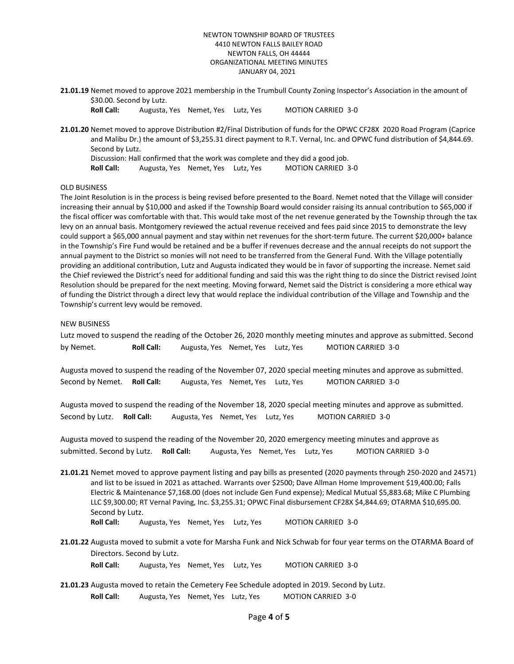**21.01.19** Nemet moved to approve 2021 membership in the Trumbull County Zoning Inspector's Association in the amount of \$30.00. Second by Lutz.

Roll Call: Augusta, Yes Nemet, Yes Lutz, Yes MOTION CARRIED 3-0

**21.01.20** Nemet moved to approve Distribution #2/Final Distribution of funds for the OPWC CF28X 2020 Road Program (Caprice and Malibu Dr.) the amount of \$3,255.31 direct payment to R.T. Vernal, Inc. and OPWC fund distribution of \$4,844.69. Second by Lutz. Discussion: Hall confirmed that the work was complete and they did a good job.

Roll Call: Augusta, Yes Nemet, Yes Lutz, Yes MOTION CARRIED 3-0

## OLD BUSINESS

The Joint Resolution is in the process is being revised before presented to the Board. Nemet noted that the Village will consider increasing their annual by \$10,000 and asked if the Township Board would consider raising its annual contribution to \$65,000 if the fiscal officer was comfortable with that. This would take most of the net revenue generated by the Township through the tax levy on an annual basis. Montgomery reviewed the actual revenue received and fees paid since 2015 to demonstrate the levy could support a \$65,000 annual payment and stay within net revenues for the short-term future. The current \$20,000+ balance in the Township's Fire Fund would be retained and be a buffer if revenues decrease and the annual receipts do not support the annual payment to the District so monies will not need to be transferred from the General Fund. With the Village potentially providing an additional contribution, Lutz and Augusta indicated they would be in favor of supporting the increase. Nemet said the Chief reviewed the District's need for additional funding and said this was the right thing to do since the District revised Joint Resolution should be prepared for the next meeting. Moving forward, Nemet said the District is considering a more ethical way of funding the District through a direct levy that would replace the individual contribution of the Village and Township and the Township's current levy would be removed.

#### NEW BUSINESS

Lutz moved to suspend the reading of the October 26, 2020 monthly meeting minutes and approve as submitted. Second by Nemet. **Roll Call:** Augusta, Yes Nemet, Yes Lutz, Yes MOTION CARRIED 3-0

Augusta moved to suspend the reading of the November 07, 2020 special meeting minutes and approve as submitted. Second by Nemet. **Roll Call:** Augusta, Yes Nemet, Yes Lutz, Yes MOTION CARRIED 3-0

Augusta moved to suspend the reading of the November 18, 2020 special meeting minutes and approve as submitted. Second by Lutz. **Roll Call:** Augusta, Yes Nemet, Yes Lutz, Yes MOTION CARRIED 3-0

Augusta moved to suspend the reading of the November 20, 2020 emergency meeting minutes and approve as submitted. Second by Lutz. **Roll Call:** Augusta, Yes Nemet, Yes Lutz, Yes MOTION CARRIED 3-0

**21.01.21** Nemet moved to approve payment listing and pay bills as presented (2020 payments through 250-2020 and 24571) and list to be issued in 2021 as attached. Warrants over \$2500; Dave Allman Home Improvement \$19,400.00; Falls Electric & Maintenance \$7,168.00 (does not include Gen Fund expense); Medical Mutual \$5,883.68; Mike C Plumbing LLC \$9,300.00; RT Vernal Paving, Inc. \$3,255.31; OPWC Final disbursement CF28X \$4,844.69; OTARMA \$10,695.00. Second by Lutz.

Roll Call: Augusta, Yes Nemet, Yes Lutz, Yes MOTION CARRIED 3-0

**21.01.22** Augusta moved to submit a vote for Marsha Funk and Nick Schwab for four year terms on the OTARMA Board of Directors. Second by Lutz.

Roll Call: Augusta, Yes Nemet, Yes Lutz, Yes MOTION CARRIED 3-0

**21.01.23** Augusta moved to retain the Cemetery Fee Schedule adopted in 2019. Second by Lutz. Roll Call: Augusta, Yes Nemet, Yes Lutz, Yes MOTION CARRIED 3-0